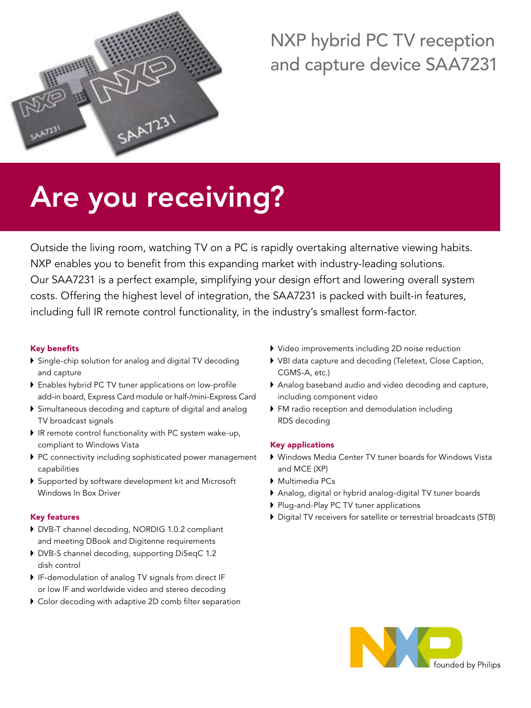

# NXP hybrid PC TV reception and capture device SAA7231

# Are you receiving?

Outside the living room, watching TV on a PC is rapidly overtaking alternative viewing habits. NXP enables you to benefit from this expanding market with industry-leading solutions. Our SAA7231 is a perfect example, simplifying your design effort and lowering overall system costs. Offering the highest level of integration, the SAA7231 is packed with built-in features, including full IR remote control functionality, in the industry's smallest form-factor.

## Key benefits

- Single-chip solution for analog and digital TV decoding and capture
- Enables hybrid PC TV tuner applications on low-profile add-in board, Express Card module or half-/mini-Express Card
- Simultaneous decoding and capture of digital and analog TV broadcast signals
- IR remote control functionality with PC system wake-up, compliant to Windows Vista
- PC connectivity including sophisticated power management capabilities
- Supported by software development kit and Microsoft Windows In Box Driver

### Key features

- DVB-T channel decoding, NORDIG 1.0.2 compliant and meeting DBook and Digitenne requirements
- DVB-S channel decoding, supporting DiSeqC 1.2 dish control
- IF-demodulation of analog TV signals from direct IF or low IF and worldwide video and stereo decoding
- Color decoding with adaptive 2D comb filter separation
- Video improvements including 2D noise reduction
- VBI data capture and decoding (Teletext, Close Caption, CGMS-A, etc.)
- Analog baseband audio and video decoding and capture, including component video
- FM radio reception and demodulation including RDS decoding

### Key applications

- Windows Media Center TV tuner boards for Windows Vista and MCE (XP)
- Multimedia PCs
- Analog, digital or hybrid analog-digital TV tuner boards
- Plug-and-Play PC TV tuner applications
- Digital TV receivers for satellite or terrestrial broadcasts (STB)